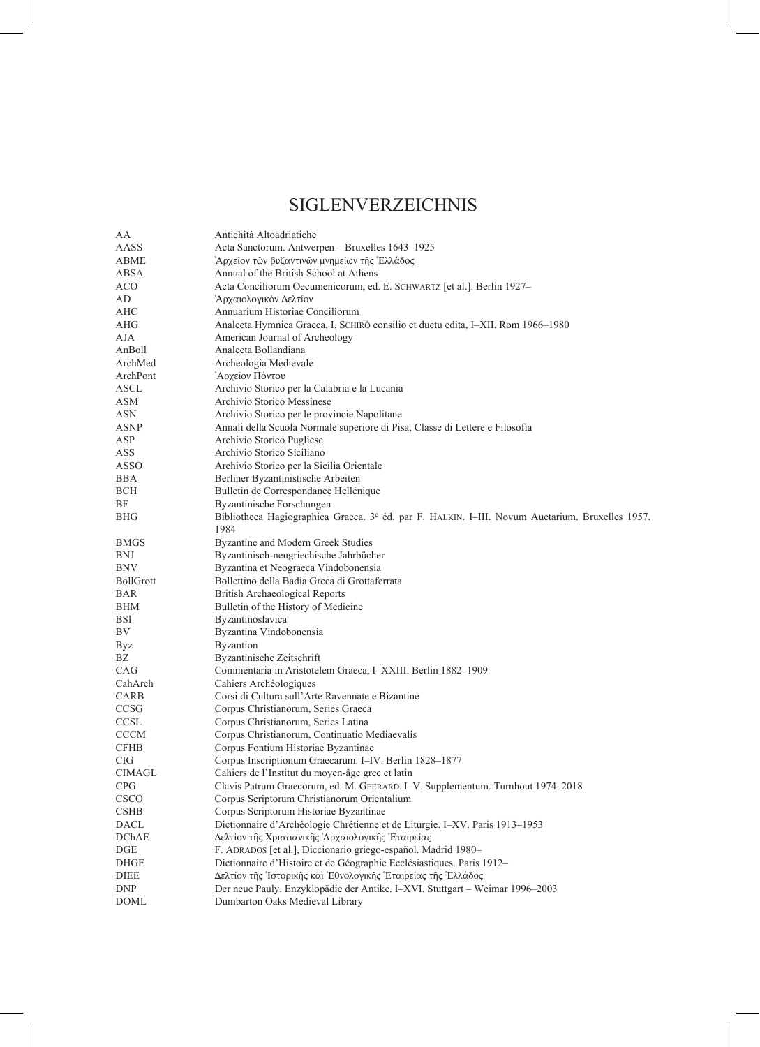## SIGLENVERZEICHNIS

| AA                    | Antichità Altoadriatiche                                                                                    |
|-----------------------|-------------------------------------------------------------------------------------------------------------|
| AASS                  | Acta Sanctorum. Antwerpen - Bruxelles 1643-1925                                                             |
| <b>ABME</b>           | Αρχεΐον τῶν βυζαντινῶν μνημείων τῆς Ἑλλάδος                                                                 |
| ABSA                  | Annual of the British School at Athens                                                                      |
| <b>ACO</b>            | Acta Conciliorum Oecumenicorum, ed. E. SCHWARTZ [et al.]. Berlin 1927-                                      |
| AD                    | Αρχαιολογικόν Δελτίον                                                                                       |
| AHC                   | Annuarium Historiae Conciliorum                                                                             |
| AHG                   | Analecta Hymnica Graeca, I. SCHIRÒ consilio et ductu edita, I-XII. Rom 1966-1980                            |
| AJA                   | American Journal of Archeology                                                                              |
| AnBoll                | Analecta Bollandiana                                                                                        |
| ArchMed               | Archeologia Medievale                                                                                       |
| ArchPont              | Αρχείον Πόντου                                                                                              |
| $\operatorname{ASCL}$ | Archivio Storico per la Calabria e la Lucania                                                               |
| ASM                   | Archivio Storico Messinese                                                                                  |
| ASN                   | Archivio Storico per le provincie Napolitane                                                                |
| <b>ASNP</b>           | Annali della Scuola Normale superiore di Pisa, Classe di Lettere e Filosofia                                |
| ASP                   | Archivio Storico Pugliese                                                                                   |
| ASS                   | Archivio Storico Siciliano                                                                                  |
| <b>ASSO</b>           | Archivio Storico per la Sicilia Orientale                                                                   |
| <b>BBA</b>            | Berliner Byzantinistische Arbeiten                                                                          |
| BCH                   | Bulletin de Correspondance Hellénique                                                                       |
| ΒF                    | Byzantinische Forschungen                                                                                   |
| BHG                   | Bibliotheca Hagiographica Graeca. 3 <sup>e</sup> éd. par F. HALKIN. I-III. Novum Auctarium. Bruxelles 1957. |
|                       | 1984                                                                                                        |
| <b>BMGS</b>           | Byzantine and Modern Greek Studies                                                                          |
| <b>BNJ</b>            | Byzantinisch-neugriechische Jahrbücher                                                                      |
| BNV                   | Byzantina et Neograeca Vindobonensia                                                                        |
| <b>BollGrott</b>      | Bollettino della Badia Greca di Grottaferrata                                                               |
| <b>BAR</b>            | British Archaeological Reports                                                                              |
| BHM                   | Bulletin of the History of Medicine                                                                         |
| BSI                   | Byzantinoslavica                                                                                            |
| BV                    | Byzantina Vindobonensia                                                                                     |
| Byz                   | <b>Byzantion</b>                                                                                            |
| BΖ                    | Byzantinische Zeitschrift                                                                                   |
| CAG                   | Commentaria in Aristotelem Graeca, I-XXIII. Berlin 1882-1909                                                |
| CahArch               | Cahiers Archéologiques                                                                                      |
| CARB                  | Corsi di Cultura sull'Arte Ravennate e Bizantine                                                            |
| CCSG                  | Corpus Christianorum, Series Graeca                                                                         |
| <b>CCSL</b>           | Corpus Christianorum, Series Latina                                                                         |
| <b>CCCM</b>           | Corpus Christianorum, Continuatio Mediaevalis                                                               |
| <b>CFHB</b>           | Corpus Fontium Historiae Byzantinae                                                                         |
| <b>CIG</b>            | Corpus Inscriptionum Graecarum. I-IV. Berlin 1828-1877                                                      |
| <b>CIMAGL</b>         | Cahiers de l'Institut du moyen-âge grec et latin                                                            |
| CPG                   | Clavis Patrum Graecorum, ed. M. GEERARD. I-V. Supplementum. Turnhout 1974-2018                              |
| CSCO                  | Corpus Scriptorum Christianorum Orientalium                                                                 |
| <b>CSHB</b>           | Corpus Scriptorum Historiae Byzantinae                                                                      |
| DACL                  | Dictionnaire d'Archéologie Chrétienne et de Liturgie. I-XV. Paris 1913-1953                                 |
| <b>DChAE</b>          | Δελτίον της Χριστιανικης Αρχαιολογικης Έταιρείας                                                            |
| DGE                   | F. ADRADOS [et al.], Diccionario griego-español. Madrid 1980-                                               |
| DHGE                  | Dictionnaire d'Histoire et de Géographie Ecclésiastiques. Paris 1912-                                       |
| <b>DIEE</b>           | Δελτίον της Ίστορικης και Εθνολογικης Έταιρείας της Έλλάδος                                                 |
| <b>DNP</b>            | Der neue Pauly. Enzyklopädie der Antike. I-XVI. Stuttgart - Weimar 1996-2003                                |
| <b>DOML</b>           | Dumbarton Oaks Medieval Library                                                                             |
|                       |                                                                                                             |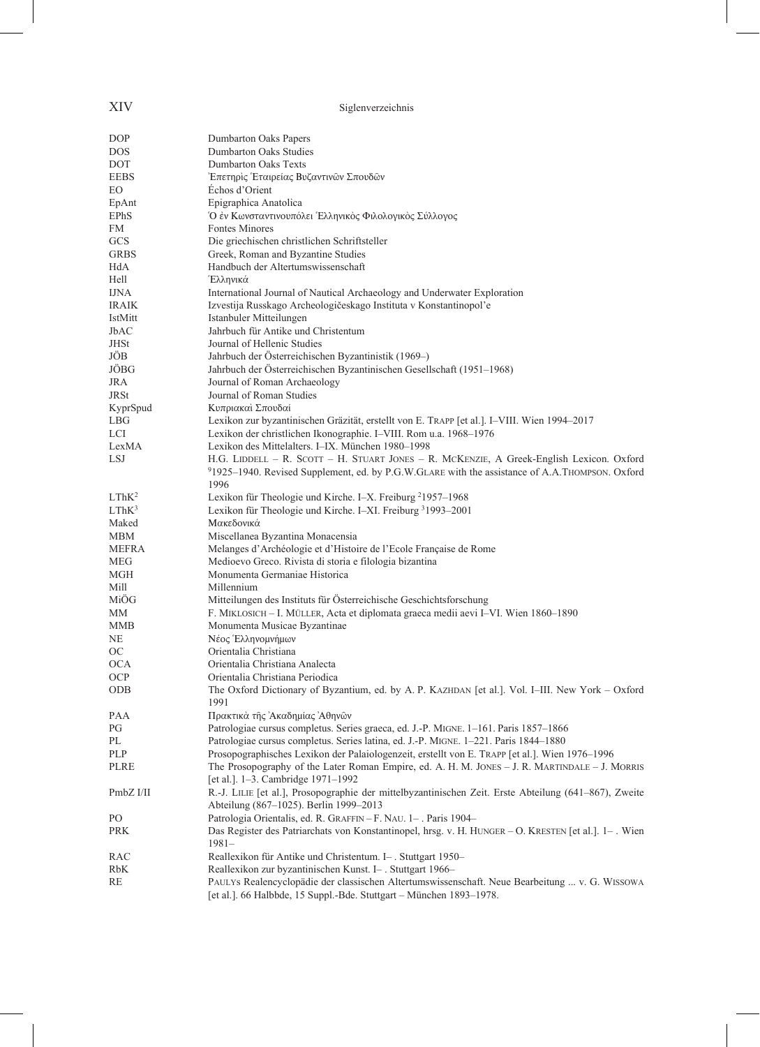## XIV Siglenverzeichnis

| DOP               | Dumbarton Oaks Papers                                                                                 |
|-------------------|-------------------------------------------------------------------------------------------------------|
| <b>DOS</b>        | Dumbarton Oaks Studies                                                                                |
| DOT               | <b>Dumbarton Oaks Texts</b>                                                                           |
| <b>EEBS</b>       | Επετηρις Έταιρείας Βυζαντινων Σπουδων                                                                 |
| EО                | Echos d'Orient                                                                                        |
| EpAnt             | Epigraphica Anatolica                                                                                 |
| EPhS              | Ο έν Κωνσταντινουπόλει Έλληνικός Φιλολογικός Σύλλογος                                                 |
| FM                | <b>Fontes Minores</b>                                                                                 |
| GCS               | Die griechischen christlichen Schriftsteller                                                          |
| <b>GRBS</b>       | Greek, Roman and Byzantine Studies                                                                    |
|                   | Handbuch der Altertumswissenschaft                                                                    |
| HdA               |                                                                                                       |
| Hell              | Έλληνικά                                                                                              |
| <b>IJNA</b>       | International Journal of Nautical Archaeology and Underwater Exploration                              |
| IRAIK             | Izvestija Russkago Archeologičeskago Instituta v Konstantinopol'e                                     |
| IstMitt           | Istanbuler Mitteilungen                                                                               |
| JbAC              | Jahrbuch für Antike und Christentum                                                                   |
| <b>JHSt</b>       | Journal of Hellenic Studies                                                                           |
| JÖB               | Jahrbuch der Österreichischen Byzantinistik (1969–)                                                   |
| JÖBG              | Jahrbuch der Österreichischen Byzantinischen Gesellschaft (1951–1968)                                 |
| JRA               | Journal of Roman Archaeology                                                                          |
| <b>JRSt</b>       | Journal of Roman Studies                                                                              |
| KyprSpud          | Κυπριακαί Σπουδαί                                                                                     |
| <b>LBG</b>        | Lexikon zur byzantinischen Gräzität, erstellt von E. TRAPP [et al.]. I-VIII. Wien 1994-2017           |
| LCI               | Lexikon der christlichen Ikonographie. I-VIII. Rom u.a. 1968-1976                                     |
| LexMA             | Lexikon des Mittelalters. I-IX. München 1980-1998                                                     |
| <b>LSJ</b>        | H.G. LIDDELL - R. SCOTT - H. STUART JONES - R. MCKENZIE, A Greek-English Lexicon. Oxford              |
|                   | 91925-1940. Revised Supplement, ed. by P.G.W.GLARE with the assistance of A.A.THOMPSON. Oxford        |
|                   | 1996                                                                                                  |
| LThK <sup>2</sup> | Lexikon für Theologie und Kirche. I-X. Freiburg <sup>2</sup> 1957–1968                                |
| LThK <sup>3</sup> | Lexikon für Theologie und Kirche. I-XI. Freiburg 31993-2001                                           |
| Maked             | Μακεδονικά                                                                                            |
| <b>MBM</b>        | Miscellanea Byzantina Monacensia                                                                      |
| <b>MEFRA</b>      | Melanges d'Archéologie et d'Histoire de l'Ecole Française de Rome                                     |
| MEG               | Medioevo Greco. Rivista di storia e filologia bizantina                                               |
| MGH               | Monumenta Germaniae Historica                                                                         |
| Mill              | Millennium                                                                                            |
| MiÖG              | Mitteilungen des Instituts für Österreichische Geschichtsforschung                                    |
| МM                | F. MIKLOSICH - I. MÜLLER, Acta et diplomata graeca medii aevi I-VI. Wien 1860-1890                    |
| MMB               | Monumenta Musicae Byzantinae                                                                          |
| NE                | Νέος Έλληνομνήμων                                                                                     |
| OС                | Orientalia Christiana                                                                                 |
|                   |                                                                                                       |
| <b>OCA</b>        | Orientalia Christiana Analecta                                                                        |
| OCP               | Orientalia Christiana Periodica                                                                       |
| <b>ODB</b>        | The Oxford Dictionary of Byzantium, ed. by A. P. KAZHDAN [et al.]. Vol. I-III. New York - Oxford      |
|                   | 1991                                                                                                  |
| PAA               | Πρακτικά της Ακαδημίας Αθηνών                                                                         |
| PG                | Patrologiae cursus completus. Series graeca, ed. J.-P. MIGNE. 1-161. Paris 1857-1866                  |
| PL                | Patrologiae cursus completus. Series latina, ed. J.-P. MIGNE. 1-221. Paris 1844-1880                  |
| PLP               | Prosopographisches Lexikon der Palaiologenzeit, erstellt von E. TRAPP [et al.]. Wien 1976-1996        |
| <b>PLRE</b>       | The Prosopography of the Later Roman Empire, ed. A. H. M. JONES - J. R. MARTINDALE - J. MORRIS        |
|                   | [et al.]. 1-3. Cambridge 1971-1992                                                                    |
| PmbZ I/II         | R.-J. LILIE [et al.], Prosopographie der mittelbyzantinischen Zeit. Erste Abteilung (641–867), Zweite |
|                   | Abteilung (867-1025). Berlin 1999-2013                                                                |
| PO.               | Patrologia Orientalis, ed. R. GRAFFIN-F. NAU. 1-. Paris 1904-                                         |
| <b>PRK</b>        | Das Register des Patriarchats von Konstantinopel, hrsg. v. H. HUNGER - O. KRESTEN [et al.]. 1-. Wien  |
|                   | $1981-$                                                                                               |
| RAC               | Reallexikon für Antike und Christentum. I- . Stuttgart 1950-                                          |
| RbK               | Reallexikon zur byzantinischen Kunst. I-. Stuttgart 1966-                                             |
| RE                | PAULYs Realencyclopädie der classischen Altertumswissenschaft. Neue Bearbeitung  v. G. WISSOWA        |
|                   | [et al.]. 66 Halbbde, 15 Suppl.-Bde. Stuttgart - München 1893-1978.                                   |